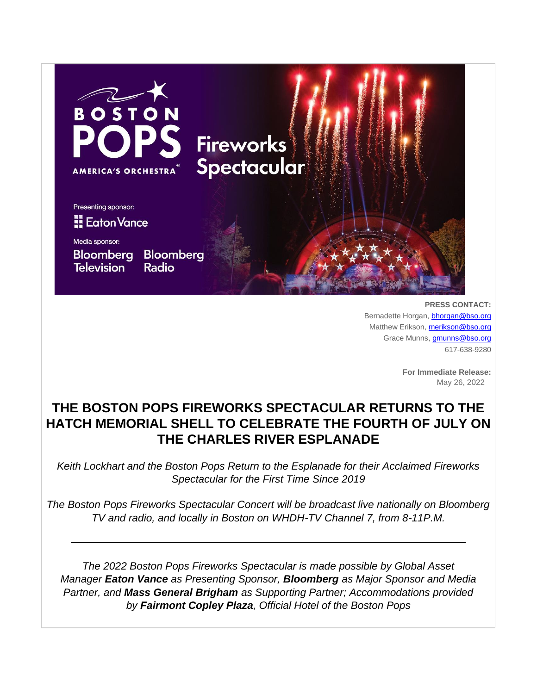

**PRESS CONTACT:** Bernadette Horgan, **[bhorgan@bso.org](mailto:bhorgan@bso.org)** Matthew Erikson, [merikson@bso.org](mailto:merikson@bso.org) Grace Munns, [gmunns@bso.org](mailto:gmunns@bso.org) 617-638-9280

> **For Immediate Release:** May 26, 2022

# **THE BOSTON POPS FIREWORKS SPECTACULAR RETURNS TO THE HATCH MEMORIAL SHELL TO CELEBRATE THE FOURTH OF JULY ON THE CHARLES RIVER ESPLANADE**

*Keith Lockhart and the Boston Pops Return to the Esplanade for their Acclaimed Fireworks Spectacular for the First Time Since 2019*

*The Boston Pops Fireworks Spectacular Concert will be broadcast live nationally on Bloomberg TV and radio, and locally in Boston on WHDH-TV Channel 7, from 8-11P.M.*

*The 2022 Boston Pops Fireworks Spectacular is made possible by Global Asset Manager Eaton Vance as Presenting Sponsor, Bloomberg as Major Sponsor and Media Partner, and Mass General Brigham as Supporting Partner; Accommodations provided by Fairmont Copley Plaza, Official Hotel of the Boston Pops*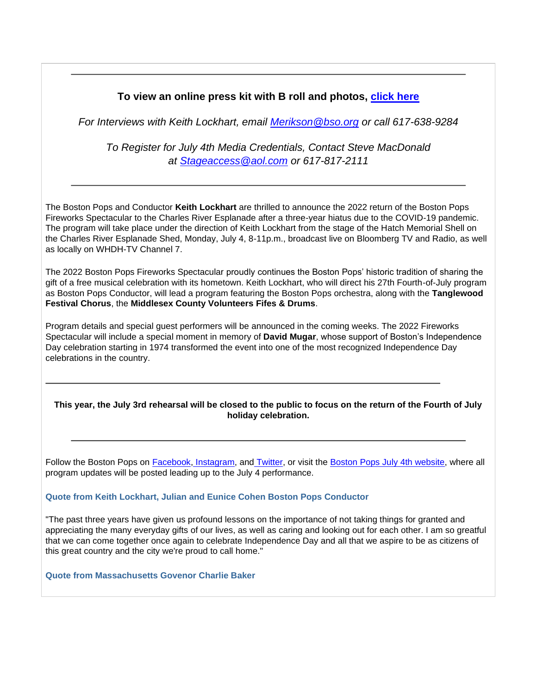# **To view an online press kit with B roll and photos, [click here](https://app.box.com/s/zi5l86qh01dakwnokljd8pocofm7ntez)**

*For Interviews with Keith Lockhart, email [Merikson@bso.org](mailto:merikson@bso.org) or call 617-638-9284*

*To Register for July 4th Media Credentials, Contact Steve MacDonald at [Stageaccess@aol.com](mailto:stageaccess@aol.com) or 617-817-2111*

The Boston Pops and Conductor **Keith Lockhart** are thrilled to announce the 2022 return of the Boston Pops Fireworks Spectacular to the Charles River Esplanade after a three-year hiatus due to the COVID-19 pandemic. The program will take place under the direction of Keith Lockhart from the stage of the Hatch Memorial Shell on the Charles River Esplanade Shed, Monday, July 4, 8-11p.m., broadcast live on Bloomberg TV and Radio, as well as locally on WHDH-TV Channel 7.

The 2022 Boston Pops Fireworks Spectacular proudly continues the Boston Pops' historic tradition of sharing the gift of a free musical celebration with its hometown. Keith Lockhart, who will direct his 27th Fourth-of-July program as Boston Pops Conductor, will lead a program featuring the Boston Pops orchestra, along with the **Tanglewood Festival Chorus**, the **Middlesex County Volunteers Fifes & Drums**.

Program details and special guest performers will be announced in the coming weeks. The 2022 Fireworks Spectacular will include a special moment in memory of **David Mugar**, whose support of Boston's Independence Day celebration starting in 1974 transformed the event into one of the most recognized Independence Day celebrations in the country.

### **This year, the July 3rd rehearsal will be closed to the public to focus on the return of the Fourth of July holiday celebration.**

Follow the Boston Pops on [Facebook,](https://www.facebook.com/TheBostonPops) [Instagram,](https://www.instagram.com/thebostonpops/) and [Twitter,](https://twitter.com/TheBostonPops) or visit the [Boston Pops July 4th website,](https://www.bso.org/boston-pops-fireworks-spectacular) where all program updates will be posted leading up to the July 4 performance.

### **Quote from Keith Lockhart, Julian and Eunice Cohen Boston Pops Conductor**

"The past three years have given us profound lessons on the importance of not taking things for granted and appreciating the many everyday gifts of our lives, as well as caring and looking out for each other. I am so greatful that we can come together once again to celebrate Independence Day and all that we aspire to be as citizens of this great country and the city we're proud to call home."

**Quote from Massachusetts Govenor Charlie Baker**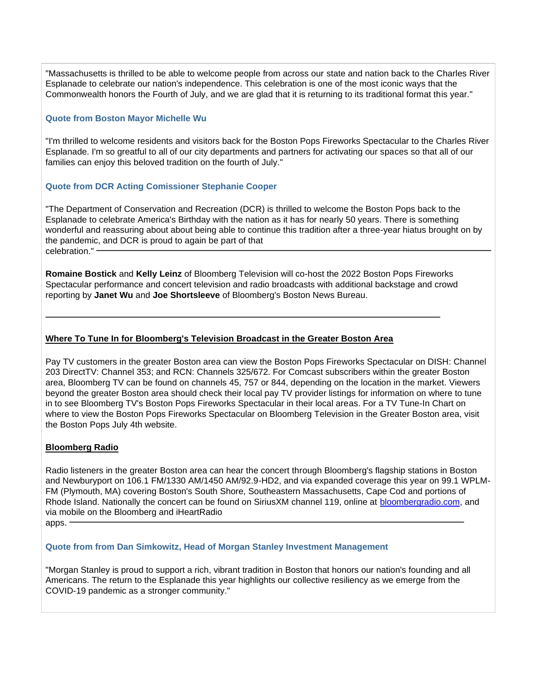"Massachusetts is thrilled to be able to welcome people from across our state and nation back to the Charles River Esplanade to celebrate our nation's independence. This celebration is one of the most iconic ways that the Commonwealth honors the Fourth of July, and we are glad that it is returning to its traditional format this year."

### **Quote from Boston Mayor Michelle Wu**

"I'm thrilled to welcome residents and visitors back for the Boston Pops Fireworks Spectacular to the Charles River Esplanade. I'm so greatful to all of our city departments and partners for activating our spaces so that all of our families can enjoy this beloved tradition on the fourth of July."

### **Quote from DCR Acting Comissioner Stephanie Cooper**

"The Department of Conservation and Recreation (DCR) is thrilled to welcome the Boston Pops back to the Esplanade to celebrate America's Birthday with the nation as it has for nearly 50 years. There is something wonderful and reassuring about about being able to continue this tradition after a three-year hiatus brought on by the pandemic, and DCR is proud to again be part of that celebration." -

**Romaine Bostick** and **Kelly Leinz** of Bloomberg Television will co-host the 2022 Boston Pops Fireworks Spectacular performance and concert television and radio broadcasts with additional backstage and crowd reporting by **Janet Wu** and **Joe Shortsleeve** of Bloomberg's Boston News Bureau.

### **Where To Tune In for Bloomberg's Television Broadcast in the Greater Boston Area**

Pay TV customers in the greater Boston area can view the Boston Pops Fireworks Spectacular on DISH: Channel 203 DirectTV: Channel 353; and RCN: Channels 325/672. For Comcast subscribers within the greater Boston area, Bloomberg TV can be found on channels 45, 757 or 844, depending on the location in the market. Viewers beyond the greater Boston area should check their local pay TV provider listings for information on where to tune in to see Bloomberg TV's Boston Pops Fireworks Spectacular in their local areas. For a TV Tune-In Chart on where to view the Boston Pops Fireworks Spectacular on Bloomberg Television in the Greater Boston area, visit the Boston Pops July 4th website.

### **Bloomberg Radio**

Radio listeners in the greater Boston area can hear the concert through Bloomberg's flagship stations in Boston and Newburyport on 106.1 FM/1330 AM/1450 AM/92.9-HD2, and via expanded coverage this year on 99.1 WPLM-FM (Plymouth, MA) covering Boston's South Shore, Southeastern Massachusetts, Cape Cod and portions of Rhode Island. Nationally the concert can be found on SiriusXM channel 119, online at [bloombergradio.com,](https://www.bloombergradio.com/) and via mobile on the Bloomberg and iHeartRadio

# apps. -

# **Quote from from Dan Simkowitz, Head of Morgan Stanley Investment Management**

"Morgan Stanley is proud to support a rich, vibrant tradition in Boston that honors our nation's founding and all Americans. The return to the Esplanade this year highlights our collective resiliency as we emerge from the COVID-19 pandemic as a stronger community."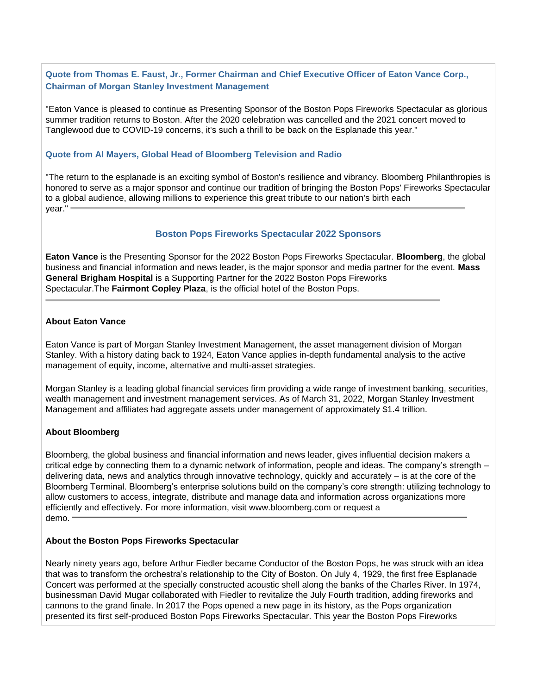### **Quote from Thomas E. Faust, Jr., Former Chairman and Chief Executive Officer of Eaton Vance Corp., Chairman of Morgan Stanley Investment Management**

"Eaton Vance is pleased to continue as Presenting Sponsor of the Boston Pops Fireworks Spectacular as glorious summer tradition returns to Boston. After the 2020 celebration was cancelled and the 2021 concert moved to Tanglewood due to COVID-19 concerns, it's such a thrill to be back on the Esplanade this year."

### **Quote from Al Mayers, Global Head of Bloomberg Television and Radio**

"The return to the esplanade is an exciting symbol of Boston's resilience and vibrancy. Bloomberg Philanthropies is honored to serve as a major sponsor and continue our tradition of bringing the Boston Pops' Fireworks Spectacular to a global audience, allowing millions to experience this great tribute to our nation's birth each year."

### **Boston Pops Fireworks Spectacular 2022 Sponsors**

**Eaton Vance** is the Presenting Sponsor for the 2022 Boston Pops Fireworks Spectacular. **Bloomberg**, the global business and financial information and news leader, is the major sponsor and media partner for the event. **Mass General Brigham Hospital** is a Supporting Partner for the 2022 Boston Pops Fireworks Spectacular.The **Fairmont Copley Plaza**, is the official hotel of the Boston Pops.

#### **About Eaton Vance**

Eaton Vance is part of Morgan Stanley Investment Management, the asset management division of Morgan Stanley. With a history dating back to 1924, Eaton Vance applies in-depth fundamental analysis to the active management of equity, income, alternative and multi-asset strategies.

Morgan Stanley is a leading global financial services firm providing a wide range of investment banking, securities, wealth management and investment management services. As of March 31, 2022, Morgan Stanley Investment Management and affiliates had aggregate assets under management of approximately \$1.4 trillion.

### **About Bloomberg**

Bloomberg, the global business and financial information and news leader, gives influential decision makers a critical edge by connecting them to a dynamic network of information, people and ideas. The company's strength – delivering data, news and analytics through innovative technology, quickly and accurately – is at the core of the Bloomberg Terminal. Bloomberg's enterprise solutions build on the company's core strength: utilizing technology to allow customers to access, integrate, distribute and manage data and information across organizations more efficiently and effectively. For more information, visit www.bloomberg.com or request a demo.

#### **About the Boston Pops Fireworks Spectacular**

Nearly ninety years ago, before Arthur Fiedler became Conductor of the Boston Pops, he was struck with an idea that was to transform the orchestra's relationship to the City of Boston. On July 4, 1929, the first free Esplanade Concert was performed at the specially constructed acoustic shell along the banks of the Charles River. In 1974, businessman David Mugar collaborated with Fiedler to revitalize the July Fourth tradition, adding fireworks and cannons to the grand finale. In 2017 the Pops opened a new page in its history, as the Pops organization presented its first self-produced Boston Pops Fireworks Spectacular. This year the Boston Pops Fireworks